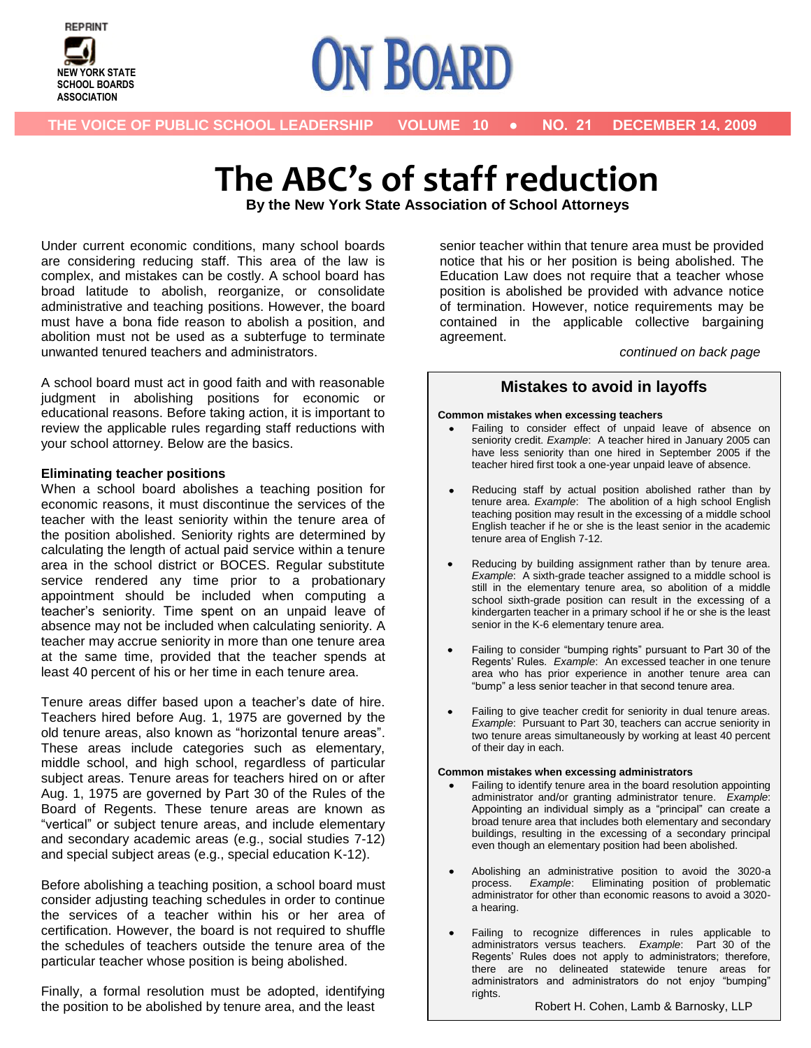



## **The ABC's of staff reduction**

**By the New York State Association of School Attorneys**

.

Under current economic conditions, many school boards are considering reducing staff. This area of the law is complex, and mistakes can be costly. A school board has broad latitude to abolish, reorganize, or consolidate administrative and teaching positions. However, the board must have a bona fide reason to abolish a position, and abolition must not be used as a subterfuge to terminate unwanted tenured teachers and administrators.

A school board must act in good faith and with reasonable judgment in abolishing positions for economic or educational reasons. Before taking action, it is important to review the applicable rules regarding staff reductions with your school attorney. Below are the basics.

#### **Eliminating teacher positions**

When a school board abolishes a teaching position for economic reasons, it must discontinue the services of the teacher with the least seniority within the tenure area of the position abolished. Seniority rights are determined by calculating the length of actual paid service within a tenure area in the school district or BOCES. Regular substitute service rendered any time prior to a probationary appointment should be included when computing a teacher's seniority. Time spent on an unpaid leave of absence may not be included when calculating seniority. A teacher may accrue seniority in more than one tenure area at the same time, provided that the teacher spends at least 40 percent of his or her time in each tenure area.

Tenure areas differ based upon a teacher's date of hire. Teachers hired before Aug. 1, 1975 are governed by the old tenure areas, also known as "horizontal tenure areas". These areas include categories such as elementary, middle school, and high school, regardless of particular subject areas. Tenure areas for teachers hired on or after Aug. 1, 1975 are governed by Part 30 of the Rules of the Board of Regents. These tenure areas are known as "vertical" or subject tenure areas, and include elementary and secondary academic areas (e.g., social studies 7-12) and special subject areas (e.g., special education K-12).

Before abolishing a teaching position, a school board must consider adjusting teaching schedules in order to continue the services of a teacher within his or her area of certification. However, the board is not required to shuffle the schedules of teachers outside the tenure area of the particular teacher whose position is being abolished.

Finally, a formal resolution must be adopted, identifying the position to be abolished by tenure area, and the least

senior teacher within that tenure area must be provided notice that his or her position is being abolished. The Education Law does not require that a teacher whose position is abolished be provided with advance notice of termination. However, notice requirements may be contained in the applicable collective bargaining agreement.

*continued on back page*

## **Mistakes to avoid in layoffs**

#### **Common mistakes when excessing teachers**

- Failing to consider effect of unpaid leave of absence on seniority credit. *Example*: A teacher hired in January 2005 can have less seniority than one hired in September 2005 if the teacher hired first took a one-year unpaid leave of absence.
- $\bullet$ Reducing staff by actual position abolished rather than by tenure area. *Example*: The abolition of a high school English teaching position may result in the excessing of a middle school English teacher if he or she is the least senior in the academic tenure area of English 7-12.
- Reducing by building assignment rather than by tenure area.  $\bullet$ *Example*: A sixth-grade teacher assigned to a middle school is still in the elementary tenure area, so abolition of a middle school sixth-grade position can result in the excessing of a kindergarten teacher in a primary school if he or she is the least senior in the K-6 elementary tenure area.
- $\bullet$ Failing to consider "bumping rights" pursuant to Part 30 of the Regents' Rules. *Example*: An excessed teacher in one tenure area who has prior experience in another tenure area can "bump" a less senior teacher in that second tenure area.
- Failing to give teacher credit for seniority in dual tenure areas. *Example*: Pursuant to Part 30, teachers can accrue seniority in two tenure areas simultaneously by working at least 40 percent of their day in each.

#### **Common mistakes when excessing administrators**

- Failing to identify tenure area in the board resolution appointing administrator and/or granting administrator tenure. *Example*: Appointing an individual simply as a "principal" can create a broad tenure area that includes both elementary and secondary buildings, resulting in the excessing of a secondary principal even though an elementary position had been abolished.
- $\bullet$ Abolishing an administrative position to avoid the 3020-a process. *Example*: Eliminating position of problematic administrator for other than economic reasons to avoid a 3020 a hearing.
- Failing to recognize differences in rules applicable to administrators versus teachers. *Example*: Part 30 of the Regents' Rules does not apply to administrators; therefore, there are no delineated statewide tenure areas for administrators and administrators do not enjoy "bumping" rights.

Robert H. Cohen, Lamb & Barnosky, LLP